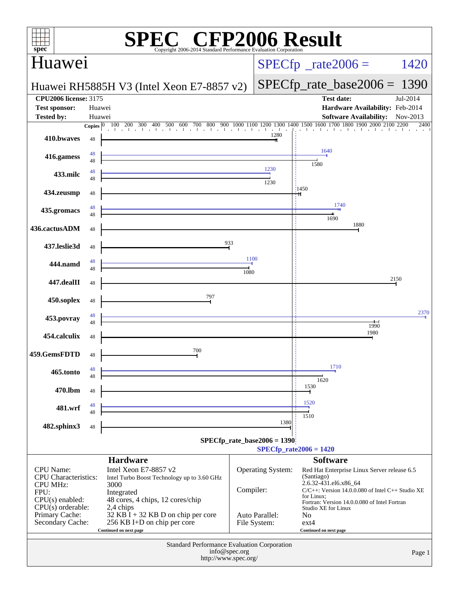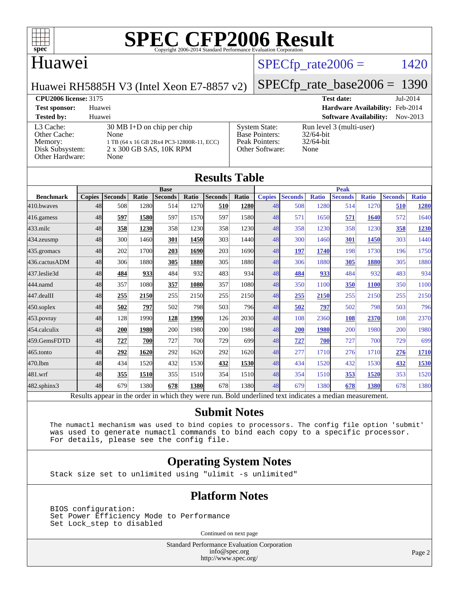

### Huawei

## $SPECTp\_rate2006 = 1420$

Huawei RH5885H V3 (Intel Xeon E7-8857 v2)

#### [SPECfp\\_rate\\_base2006 =](http://www.spec.org/auto/cpu2006/Docs/result-fields.html#SPECfpratebase2006) 1390

**[CPU2006 license:](http://www.spec.org/auto/cpu2006/Docs/result-fields.html#CPU2006license)** 3175 **[Test date:](http://www.spec.org/auto/cpu2006/Docs/result-fields.html#Testdate)** Jul-2014 **[Test sponsor:](http://www.spec.org/auto/cpu2006/Docs/result-fields.html#Testsponsor)** Huawei **[Hardware Availability:](http://www.spec.org/auto/cpu2006/Docs/result-fields.html#HardwareAvailability)** Feb-2014 **[Tested by:](http://www.spec.org/auto/cpu2006/Docs/result-fields.html#Testedby)** Huawei **[Software Availability:](http://www.spec.org/auto/cpu2006/Docs/result-fields.html#SoftwareAvailability)** Nov-2013

[L3 Cache:](http://www.spec.org/auto/cpu2006/Docs/result-fields.html#L3Cache) 30 MB I+D on chip per chip<br>Other Cache: None [Other Cache:](http://www.spec.org/auto/cpu2006/Docs/result-fields.html#OtherCache) [Memory:](http://www.spec.org/auto/cpu2006/Docs/result-fields.html#Memory) 1 TB (64 x 16 GB 2Rx4 PC3-12800R-11, ECC) [Disk Subsystem:](http://www.spec.org/auto/cpu2006/Docs/result-fields.html#DiskSubsystem) 2 x 300 GB SAS, 10K RPM [Other Hardware:](http://www.spec.org/auto/cpu2006/Docs/result-fields.html#OtherHardware) None

| <b>System State:</b>  | Run 1 |
|-----------------------|-------|
| <b>Base Pointers:</b> | 32/64 |
| Peak Pointers:        | 32/64 |
| Other Software:       | None  |
|                       |       |

level 3 (multi-user) 4-bit 4-bit

| <b>Results Table</b> |               |                |             |                               |       |                |       |               |                |              |                               |              |                |              |
|----------------------|---------------|----------------|-------------|-------------------------------|-------|----------------|-------|---------------|----------------|--------------|-------------------------------|--------------|----------------|--------------|
| <b>Benchmark</b>     | <b>Copies</b> | <b>Seconds</b> | Ratio       | <b>Base</b><br><b>Seconds</b> | Ratio | <b>Seconds</b> | Ratio | <b>Copies</b> | <b>Seconds</b> | <b>Ratio</b> | <b>Peak</b><br><b>Seconds</b> | <b>Ratio</b> | <b>Seconds</b> | <b>Ratio</b> |
| 410.bwayes           | 48            | 508            | 1280        | 514                           | 1270  | 510            | 1280  | 48            | 508            | 1280         | 514                           | 1270         | 510            | 1280         |
| 416.gamess           | 48            | 597            | <b>1580</b> | 597                           | 1570  | 597            | 1580  | 48            | 571            | 1650         | 571                           | 1640         | 572            | 1640         |
| $433$ .milc          | 48            | 358            | 1230        | 358                           | 1230  | 358            | 1230  | 48            | 358            | 1230         | 358                           | 1230         | 358            | 1230         |
| $434$ . zeusmp       | 48            | 300            | 1460        | 301                           | 1450  | 303            | 1440  | 48            | 300            | 1460         | 301                           | 1450         | 303            | 1440         |
| 435.gromacs          | 48            | 202            | 1700        | 203                           | 1690  | 203            | 1690  | 48            | 197            | 1740         | 198                           | 1730         | 196            | 1750         |
| 436.cactusADM        | 48            | 306            | 1880        | 305                           | 1880  | 305            | 1880  | 48            | 306            | 1880         | 305                           | 1880         | 305            | 1880         |
| 437.leslie3d         | 48            | 484            | 933         | 484                           | 932   | 483            | 934   | 48            | 484            | 933          | 484                           | 932          | 483            | 934          |
| 444.namd             | 48            | 357            | 1080        | 357                           | 1080  | 357            | 1080  | 48            | 350            | 1100         | 350                           | 1100         | 350            | 1100         |
| $447$ .dealII        | 48            | 255            | 2150        | 255                           | 2150  | 255            | 2150  | 48            | 255            | 2150         | 255                           | 2150         | 255            | 2150         |
| $450$ .soplex        | 48            | 502            | 797         | 502                           | 798   | 503            | 796   | 48            | 502            | 797          | 502                           | 798          | 503            | 796          |
| 453.povray           | 48            | 128            | 1990        | 128                           | 1990  | 126            | 2030  | 48            | 108            | 2360         | 108                           | 2370         | 108            | 2370         |
| 454.calculix         | 48            | 200            | 1980        | 200                           | 1980  | 200            | 1980  | 48            | 200            | 1980         | 200                           | 1980         | 200            | 1980         |
| 459.GemsFDTD         | 48            | 727            | 700         | 727                           | 700   | 729            | 699   | 48            | 727            | 700          | 727                           | 700          | 729            | 699          |
| 465.tonto            | 48            | 292            | 1620        | 292                           | 1620  | 292            | 1620  | 48            | 277            | 1710         | 276                           | 1710         | 276            | 1710         |
| 470.1bm              | 48            | 434            | 1520        | 432                           | 1530  | 432            | 1530  | 48            | 434            | 1520         | 432                           | 1530         | 432            | 1530         |
| 481.wrf              | 48            | 355            | 1510        | 355                           | 1510  | 354            | 1510  | 48            | 354            | 1510         | 353                           | 1520         | 353            | 1520         |
| 482.sphinx3          | 48            | 679            | 1380        | 678                           | 1380  | 678            | 1380  | 48            | 679            | 1380         | 678                           | 1380         | 678            | 1380         |

**[Submit Notes](http://www.spec.org/auto/cpu2006/Docs/result-fields.html#SubmitNotes)**

 The numactl mechanism was used to bind copies to processors. The config file option 'submit' was used to generate numactl commands to bind each copy to a specific processor. For details, please see the config file.

#### **[Operating System Notes](http://www.spec.org/auto/cpu2006/Docs/result-fields.html#OperatingSystemNotes)**

Stack size set to unlimited using "ulimit -s unlimited"

#### **[Platform Notes](http://www.spec.org/auto/cpu2006/Docs/result-fields.html#PlatformNotes)**

 BIOS configuration: Set Power Efficiency Mode to Performance Set Lock\_step to disabled

Continued on next page

Standard Performance Evaluation Corporation [info@spec.org](mailto:info@spec.org) <http://www.spec.org/>

Page 2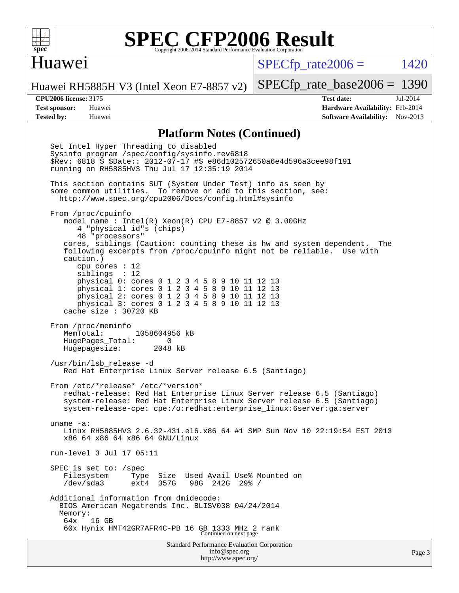

#### Huawei

 $SPECTp_rate2006 = 1420$ 

Huawei RH5885H V3 (Intel Xeon E7-8857 v2)

**[Tested by:](http://www.spec.org/auto/cpu2006/Docs/result-fields.html#Testedby)** Huawei **[Software Availability:](http://www.spec.org/auto/cpu2006/Docs/result-fields.html#SoftwareAvailability)** Nov-2013

[SPECfp\\_rate\\_base2006 =](http://www.spec.org/auto/cpu2006/Docs/result-fields.html#SPECfpratebase2006) 1390 **[CPU2006 license:](http://www.spec.org/auto/cpu2006/Docs/result-fields.html#CPU2006license)** 3175 **[Test date:](http://www.spec.org/auto/cpu2006/Docs/result-fields.html#Testdate)** Jul-2014 **[Test sponsor:](http://www.spec.org/auto/cpu2006/Docs/result-fields.html#Testsponsor)** Huawei **[Hardware Availability:](http://www.spec.org/auto/cpu2006/Docs/result-fields.html#HardwareAvailability)** Feb-2014

#### **[Platform Notes \(Continued\)](http://www.spec.org/auto/cpu2006/Docs/result-fields.html#PlatformNotes)**

Standard Performance Evaluation Corporation [info@spec.org](mailto:info@spec.org) Set Intel Hyper Threading to disabled Sysinfo program /spec/config/sysinfo.rev6818 \$Rev: 6818 \$ \$Date:: 2012-07-17 #\$ e86d102572650a6e4d596a3cee98f191 running on RH5885HV3 Thu Jul 17 12:35:19 2014 This section contains SUT (System Under Test) info as seen by some common utilities. To remove or add to this section, see: <http://www.spec.org/cpu2006/Docs/config.html#sysinfo> From /proc/cpuinfo model name : Intel(R) Xeon(R) CPU E7-8857 v2 @ 3.00GHz 4 "physical id"s (chips) 48 "processors" cores, siblings (Caution: counting these is hw and system dependent. The following excerpts from /proc/cpuinfo might not be reliable. Use with caution.) cpu cores : 12 siblings : 12 physical 0: cores 0 1 2 3 4 5 8 9 10 11 12 13 physical 1: cores 0 1 2 3 4 5 8 9 10 11 12 13 physical 2: cores 0 1 2 3 4 5 8 9 10 11 12 13 physical 3: cores 0 1 2 3 4 5 8 9 10 11 12 13 cache size : 30720 KB From /proc/meminfo<br>MemTotal: 1058604956 kB HugePages\_Total: 0<br>Hugepagesize: 2048 kB Hugepagesize: /usr/bin/lsb\_release -d Red Hat Enterprise Linux Server release 6.5 (Santiago) From /etc/\*release\* /etc/\*version\* redhat-release: Red Hat Enterprise Linux Server release 6.5 (Santiago) system-release: Red Hat Enterprise Linux Server release 6.5 (Santiago) system-release-cpe: cpe:/o:redhat:enterprise\_linux:6server:ga:server uname -a: Linux RH5885HV3 2.6.32-431.el6.x86\_64 #1 SMP Sun Nov 10 22:19:54 EST 2013 x86\_64 x86\_64 x86\_64 GNU/Linux run-level 3 Jul 17 05:11 SPEC is set to: /spec Filesystem Type Size Used Avail Use% Mounted on /dev/sda3 ext4 357G 98G 242G 29% / Additional information from dmidecode: BIOS American Megatrends Inc. BLISV038 04/24/2014 Memory: 64x 16 GB 60x Hynix HMT42GR7AFR4C-PB 16 GB 1333 MHz 2 rank Continued on next page

<http://www.spec.org/>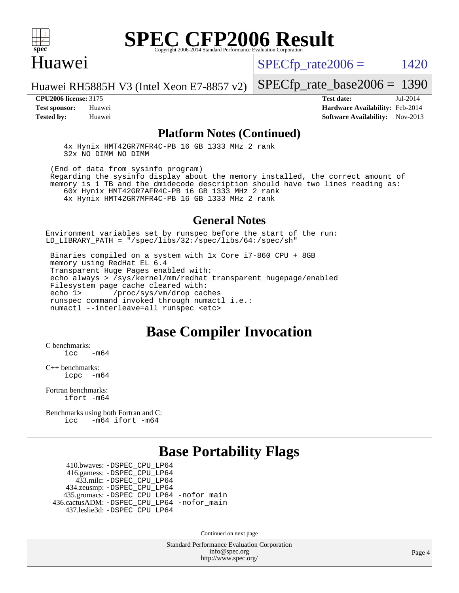

#### Huawei

 $SPECTp_rate2006 = 1420$ 

Huawei RH5885H V3 (Intel Xeon E7-8857 v2)

**[CPU2006 license:](http://www.spec.org/auto/cpu2006/Docs/result-fields.html#CPU2006license)** 3175 **[Test date:](http://www.spec.org/auto/cpu2006/Docs/result-fields.html#Testdate)** Jul-2014

[SPECfp\\_rate\\_base2006 =](http://www.spec.org/auto/cpu2006/Docs/result-fields.html#SPECfpratebase2006) 1390

**[Test sponsor:](http://www.spec.org/auto/cpu2006/Docs/result-fields.html#Testsponsor)** Huawei **[Hardware Availability:](http://www.spec.org/auto/cpu2006/Docs/result-fields.html#HardwareAvailability)** Feb-2014 **[Tested by:](http://www.spec.org/auto/cpu2006/Docs/result-fields.html#Testedby)** Huawei **[Software Availability:](http://www.spec.org/auto/cpu2006/Docs/result-fields.html#SoftwareAvailability)** Nov-2013

#### **[Platform Notes \(Continued\)](http://www.spec.org/auto/cpu2006/Docs/result-fields.html#PlatformNotes)**

 4x Hynix HMT42GR7MFR4C-PB 16 GB 1333 MHz 2 rank 32x NO DIMM NO DIMM

 (End of data from sysinfo program) Regarding the sysinfo display about the memory installed, the correct amount of memory is 1 TB and the dmidecode description should have two lines reading as: 60x Hynix HMT42GR7AFR4C-PB 16 GB 1333 MHz 2 rank 4x Hynix HMT42GR7MFR4C-PB 16 GB 1333 MHz 2 rank

#### **[General Notes](http://www.spec.org/auto/cpu2006/Docs/result-fields.html#GeneralNotes)**

Environment variables set by runspec before the start of the run: LD LIBRARY PATH = "/spec/libs/32:/spec/libs/64:/spec/sh"

 Binaries compiled on a system with 1x Core i7-860 CPU + 8GB memory using RedHat EL 6.4 Transparent Huge Pages enabled with: echo always > /sys/kernel/mm/redhat\_transparent\_hugepage/enabled Filesystem page cache cleared with:<br>echo 1> /proc/sys/vm/drop cac /proc/sys/vm/drop\_caches runspec command invoked through numactl i.e.: numactl --interleave=all runspec <etc>

#### **[Base Compiler Invocation](http://www.spec.org/auto/cpu2006/Docs/result-fields.html#BaseCompilerInvocation)**

[C benchmarks](http://www.spec.org/auto/cpu2006/Docs/result-fields.html#Cbenchmarks):  $icc$   $-m64$ 

[C++ benchmarks:](http://www.spec.org/auto/cpu2006/Docs/result-fields.html#CXXbenchmarks) [icpc -m64](http://www.spec.org/cpu2006/results/res2014q3/cpu2006-20140717-30502.flags.html#user_CXXbase_intel_icpc_64bit_bedb90c1146cab66620883ef4f41a67e)

[Fortran benchmarks](http://www.spec.org/auto/cpu2006/Docs/result-fields.html#Fortranbenchmarks): [ifort -m64](http://www.spec.org/cpu2006/results/res2014q3/cpu2006-20140717-30502.flags.html#user_FCbase_intel_ifort_64bit_ee9d0fb25645d0210d97eb0527dcc06e)

[Benchmarks using both Fortran and C](http://www.spec.org/auto/cpu2006/Docs/result-fields.html#BenchmarksusingbothFortranandC): [icc -m64](http://www.spec.org/cpu2006/results/res2014q3/cpu2006-20140717-30502.flags.html#user_CC_FCbase_intel_icc_64bit_0b7121f5ab7cfabee23d88897260401c) [ifort -m64](http://www.spec.org/cpu2006/results/res2014q3/cpu2006-20140717-30502.flags.html#user_CC_FCbase_intel_ifort_64bit_ee9d0fb25645d0210d97eb0527dcc06e)

## **[Base Portability Flags](http://www.spec.org/auto/cpu2006/Docs/result-fields.html#BasePortabilityFlags)**

 410.bwaves: [-DSPEC\\_CPU\\_LP64](http://www.spec.org/cpu2006/results/res2014q3/cpu2006-20140717-30502.flags.html#suite_basePORTABILITY410_bwaves_DSPEC_CPU_LP64) 416.gamess: [-DSPEC\\_CPU\\_LP64](http://www.spec.org/cpu2006/results/res2014q3/cpu2006-20140717-30502.flags.html#suite_basePORTABILITY416_gamess_DSPEC_CPU_LP64) 433.milc: [-DSPEC\\_CPU\\_LP64](http://www.spec.org/cpu2006/results/res2014q3/cpu2006-20140717-30502.flags.html#suite_basePORTABILITY433_milc_DSPEC_CPU_LP64) 434.zeusmp: [-DSPEC\\_CPU\\_LP64](http://www.spec.org/cpu2006/results/res2014q3/cpu2006-20140717-30502.flags.html#suite_basePORTABILITY434_zeusmp_DSPEC_CPU_LP64) 435.gromacs: [-DSPEC\\_CPU\\_LP64](http://www.spec.org/cpu2006/results/res2014q3/cpu2006-20140717-30502.flags.html#suite_basePORTABILITY435_gromacs_DSPEC_CPU_LP64) [-nofor\\_main](http://www.spec.org/cpu2006/results/res2014q3/cpu2006-20140717-30502.flags.html#user_baseLDPORTABILITY435_gromacs_f-nofor_main) 436.cactusADM: [-DSPEC\\_CPU\\_LP64](http://www.spec.org/cpu2006/results/res2014q3/cpu2006-20140717-30502.flags.html#suite_basePORTABILITY436_cactusADM_DSPEC_CPU_LP64) [-nofor\\_main](http://www.spec.org/cpu2006/results/res2014q3/cpu2006-20140717-30502.flags.html#user_baseLDPORTABILITY436_cactusADM_f-nofor_main) 437.leslie3d: [-DSPEC\\_CPU\\_LP64](http://www.spec.org/cpu2006/results/res2014q3/cpu2006-20140717-30502.flags.html#suite_basePORTABILITY437_leslie3d_DSPEC_CPU_LP64)

Continued on next page

Standard Performance Evaluation Corporation [info@spec.org](mailto:info@spec.org) <http://www.spec.org/>

Page 4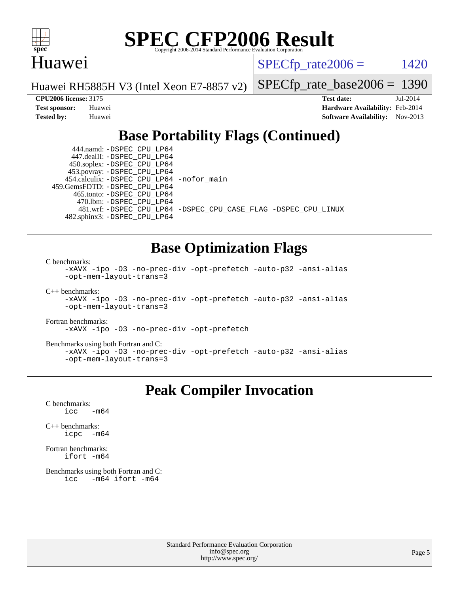

#### Huawei

 $SPECTp_rate2006 = 1420$ 

Huawei RH5885H V3 (Intel Xeon E7-8857 v2)

[SPECfp\\_rate\\_base2006 =](http://www.spec.org/auto/cpu2006/Docs/result-fields.html#SPECfpratebase2006) 1390

**[CPU2006 license:](http://www.spec.org/auto/cpu2006/Docs/result-fields.html#CPU2006license)** 3175 **[Test date:](http://www.spec.org/auto/cpu2006/Docs/result-fields.html#Testdate)** Jul-2014 **[Test sponsor:](http://www.spec.org/auto/cpu2006/Docs/result-fields.html#Testsponsor)** Huawei **[Hardware Availability:](http://www.spec.org/auto/cpu2006/Docs/result-fields.html#HardwareAvailability)** Feb-2014 **[Tested by:](http://www.spec.org/auto/cpu2006/Docs/result-fields.html#Testedby)** Huawei **[Software Availability:](http://www.spec.org/auto/cpu2006/Docs/result-fields.html#SoftwareAvailability)** Nov-2013

## **[Base Portability Flags \(Continued\)](http://www.spec.org/auto/cpu2006/Docs/result-fields.html#BasePortabilityFlags)**

 444.namd: [-DSPEC\\_CPU\\_LP64](http://www.spec.org/cpu2006/results/res2014q3/cpu2006-20140717-30502.flags.html#suite_basePORTABILITY444_namd_DSPEC_CPU_LP64) 447.dealII: [-DSPEC\\_CPU\\_LP64](http://www.spec.org/cpu2006/results/res2014q3/cpu2006-20140717-30502.flags.html#suite_basePORTABILITY447_dealII_DSPEC_CPU_LP64) 450.soplex: [-DSPEC\\_CPU\\_LP64](http://www.spec.org/cpu2006/results/res2014q3/cpu2006-20140717-30502.flags.html#suite_basePORTABILITY450_soplex_DSPEC_CPU_LP64) 453.povray: [-DSPEC\\_CPU\\_LP64](http://www.spec.org/cpu2006/results/res2014q3/cpu2006-20140717-30502.flags.html#suite_basePORTABILITY453_povray_DSPEC_CPU_LP64) 454.calculix: [-DSPEC\\_CPU\\_LP64](http://www.spec.org/cpu2006/results/res2014q3/cpu2006-20140717-30502.flags.html#suite_basePORTABILITY454_calculix_DSPEC_CPU_LP64) [-nofor\\_main](http://www.spec.org/cpu2006/results/res2014q3/cpu2006-20140717-30502.flags.html#user_baseLDPORTABILITY454_calculix_f-nofor_main) 459.GemsFDTD: [-DSPEC\\_CPU\\_LP64](http://www.spec.org/cpu2006/results/res2014q3/cpu2006-20140717-30502.flags.html#suite_basePORTABILITY459_GemsFDTD_DSPEC_CPU_LP64) 465.tonto: [-DSPEC\\_CPU\\_LP64](http://www.spec.org/cpu2006/results/res2014q3/cpu2006-20140717-30502.flags.html#suite_basePORTABILITY465_tonto_DSPEC_CPU_LP64) 470.lbm: [-DSPEC\\_CPU\\_LP64](http://www.spec.org/cpu2006/results/res2014q3/cpu2006-20140717-30502.flags.html#suite_basePORTABILITY470_lbm_DSPEC_CPU_LP64) 482.sphinx3: [-DSPEC\\_CPU\\_LP64](http://www.spec.org/cpu2006/results/res2014q3/cpu2006-20140717-30502.flags.html#suite_basePORTABILITY482_sphinx3_DSPEC_CPU_LP64)

481.wrf: [-DSPEC\\_CPU\\_LP64](http://www.spec.org/cpu2006/results/res2014q3/cpu2006-20140717-30502.flags.html#suite_basePORTABILITY481_wrf_DSPEC_CPU_LP64) [-DSPEC\\_CPU\\_CASE\\_FLAG](http://www.spec.org/cpu2006/results/res2014q3/cpu2006-20140717-30502.flags.html#b481.wrf_baseCPORTABILITY_DSPEC_CPU_CASE_FLAG) [-DSPEC\\_CPU\\_LINUX](http://www.spec.org/cpu2006/results/res2014q3/cpu2006-20140717-30502.flags.html#b481.wrf_baseCPORTABILITY_DSPEC_CPU_LINUX)

#### **[Base Optimization Flags](http://www.spec.org/auto/cpu2006/Docs/result-fields.html#BaseOptimizationFlags)**

[C benchmarks](http://www.spec.org/auto/cpu2006/Docs/result-fields.html#Cbenchmarks):

[-xAVX](http://www.spec.org/cpu2006/results/res2014q3/cpu2006-20140717-30502.flags.html#user_CCbase_f-xAVX) [-ipo](http://www.spec.org/cpu2006/results/res2014q3/cpu2006-20140717-30502.flags.html#user_CCbase_f-ipo) [-O3](http://www.spec.org/cpu2006/results/res2014q3/cpu2006-20140717-30502.flags.html#user_CCbase_f-O3) [-no-prec-div](http://www.spec.org/cpu2006/results/res2014q3/cpu2006-20140717-30502.flags.html#user_CCbase_f-no-prec-div) [-opt-prefetch](http://www.spec.org/cpu2006/results/res2014q3/cpu2006-20140717-30502.flags.html#user_CCbase_f-opt-prefetch) [-auto-p32](http://www.spec.org/cpu2006/results/res2014q3/cpu2006-20140717-30502.flags.html#user_CCbase_f-auto-p32) [-ansi-alias](http://www.spec.org/cpu2006/results/res2014q3/cpu2006-20140717-30502.flags.html#user_CCbase_f-ansi-alias) [-opt-mem-layout-trans=3](http://www.spec.org/cpu2006/results/res2014q3/cpu2006-20140717-30502.flags.html#user_CCbase_f-opt-mem-layout-trans_a7b82ad4bd7abf52556d4961a2ae94d5)

[C++ benchmarks:](http://www.spec.org/auto/cpu2006/Docs/result-fields.html#CXXbenchmarks)

[-xAVX](http://www.spec.org/cpu2006/results/res2014q3/cpu2006-20140717-30502.flags.html#user_CXXbase_f-xAVX) [-ipo](http://www.spec.org/cpu2006/results/res2014q3/cpu2006-20140717-30502.flags.html#user_CXXbase_f-ipo) [-O3](http://www.spec.org/cpu2006/results/res2014q3/cpu2006-20140717-30502.flags.html#user_CXXbase_f-O3) [-no-prec-div](http://www.spec.org/cpu2006/results/res2014q3/cpu2006-20140717-30502.flags.html#user_CXXbase_f-no-prec-div) [-opt-prefetch](http://www.spec.org/cpu2006/results/res2014q3/cpu2006-20140717-30502.flags.html#user_CXXbase_f-opt-prefetch) [-auto-p32](http://www.spec.org/cpu2006/results/res2014q3/cpu2006-20140717-30502.flags.html#user_CXXbase_f-auto-p32) [-ansi-alias](http://www.spec.org/cpu2006/results/res2014q3/cpu2006-20140717-30502.flags.html#user_CXXbase_f-ansi-alias) [-opt-mem-layout-trans=3](http://www.spec.org/cpu2006/results/res2014q3/cpu2006-20140717-30502.flags.html#user_CXXbase_f-opt-mem-layout-trans_a7b82ad4bd7abf52556d4961a2ae94d5)

[Fortran benchmarks](http://www.spec.org/auto/cpu2006/Docs/result-fields.html#Fortranbenchmarks):

[-xAVX](http://www.spec.org/cpu2006/results/res2014q3/cpu2006-20140717-30502.flags.html#user_FCbase_f-xAVX) [-ipo](http://www.spec.org/cpu2006/results/res2014q3/cpu2006-20140717-30502.flags.html#user_FCbase_f-ipo) [-O3](http://www.spec.org/cpu2006/results/res2014q3/cpu2006-20140717-30502.flags.html#user_FCbase_f-O3) [-no-prec-div](http://www.spec.org/cpu2006/results/res2014q3/cpu2006-20140717-30502.flags.html#user_FCbase_f-no-prec-div) [-opt-prefetch](http://www.spec.org/cpu2006/results/res2014q3/cpu2006-20140717-30502.flags.html#user_FCbase_f-opt-prefetch)

[Benchmarks using both Fortran and C](http://www.spec.org/auto/cpu2006/Docs/result-fields.html#BenchmarksusingbothFortranandC):

[-xAVX](http://www.spec.org/cpu2006/results/res2014q3/cpu2006-20140717-30502.flags.html#user_CC_FCbase_f-xAVX) [-ipo](http://www.spec.org/cpu2006/results/res2014q3/cpu2006-20140717-30502.flags.html#user_CC_FCbase_f-ipo) [-O3](http://www.spec.org/cpu2006/results/res2014q3/cpu2006-20140717-30502.flags.html#user_CC_FCbase_f-O3) [-no-prec-div](http://www.spec.org/cpu2006/results/res2014q3/cpu2006-20140717-30502.flags.html#user_CC_FCbase_f-no-prec-div) [-opt-prefetch](http://www.spec.org/cpu2006/results/res2014q3/cpu2006-20140717-30502.flags.html#user_CC_FCbase_f-opt-prefetch) [-auto-p32](http://www.spec.org/cpu2006/results/res2014q3/cpu2006-20140717-30502.flags.html#user_CC_FCbase_f-auto-p32) [-ansi-alias](http://www.spec.org/cpu2006/results/res2014q3/cpu2006-20140717-30502.flags.html#user_CC_FCbase_f-ansi-alias) [-opt-mem-layout-trans=3](http://www.spec.org/cpu2006/results/res2014q3/cpu2006-20140717-30502.flags.html#user_CC_FCbase_f-opt-mem-layout-trans_a7b82ad4bd7abf52556d4961a2ae94d5)

## **[Peak Compiler Invocation](http://www.spec.org/auto/cpu2006/Docs/result-fields.html#PeakCompilerInvocation)**

 $C$  benchmarks:<br>icc  $-m64$ 

[C++ benchmarks:](http://www.spec.org/auto/cpu2006/Docs/result-fields.html#CXXbenchmarks) [icpc -m64](http://www.spec.org/cpu2006/results/res2014q3/cpu2006-20140717-30502.flags.html#user_CXXpeak_intel_icpc_64bit_bedb90c1146cab66620883ef4f41a67e)

[Fortran benchmarks](http://www.spec.org/auto/cpu2006/Docs/result-fields.html#Fortranbenchmarks): [ifort -m64](http://www.spec.org/cpu2006/results/res2014q3/cpu2006-20140717-30502.flags.html#user_FCpeak_intel_ifort_64bit_ee9d0fb25645d0210d97eb0527dcc06e)

[Benchmarks using both Fortran and C](http://www.spec.org/auto/cpu2006/Docs/result-fields.html#BenchmarksusingbothFortranandC): [icc -m64](http://www.spec.org/cpu2006/results/res2014q3/cpu2006-20140717-30502.flags.html#user_CC_FCpeak_intel_icc_64bit_0b7121f5ab7cfabee23d88897260401c) [ifort -m64](http://www.spec.org/cpu2006/results/res2014q3/cpu2006-20140717-30502.flags.html#user_CC_FCpeak_intel_ifort_64bit_ee9d0fb25645d0210d97eb0527dcc06e)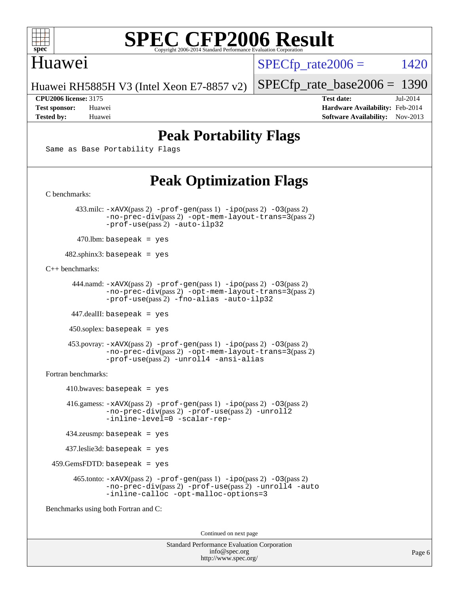

### Huawei

 $SPECTp_rate2006 = 1420$ 

Huawei RH5885H V3 (Intel Xeon E7-8857 v2)

[SPECfp\\_rate\\_base2006 =](http://www.spec.org/auto/cpu2006/Docs/result-fields.html#SPECfpratebase2006) 1390

**[CPU2006 license:](http://www.spec.org/auto/cpu2006/Docs/result-fields.html#CPU2006license)** 3175 **[Test date:](http://www.spec.org/auto/cpu2006/Docs/result-fields.html#Testdate)** Jul-2014 **[Test sponsor:](http://www.spec.org/auto/cpu2006/Docs/result-fields.html#Testsponsor)** Huawei **[Hardware Availability:](http://www.spec.org/auto/cpu2006/Docs/result-fields.html#HardwareAvailability)** Feb-2014 **[Tested by:](http://www.spec.org/auto/cpu2006/Docs/result-fields.html#Testedby)** Huawei **[Software Availability:](http://www.spec.org/auto/cpu2006/Docs/result-fields.html#SoftwareAvailability)** Nov-2013

## **[Peak Portability Flags](http://www.spec.org/auto/cpu2006/Docs/result-fields.html#PeakPortabilityFlags)**

Same as Base Portability Flags

## **[Peak Optimization Flags](http://www.spec.org/auto/cpu2006/Docs/result-fields.html#PeakOptimizationFlags)**

[C benchmarks](http://www.spec.org/auto/cpu2006/Docs/result-fields.html#Cbenchmarks): 433.milc: [-xAVX](http://www.spec.org/cpu2006/results/res2014q3/cpu2006-20140717-30502.flags.html#user_peakPASS2_CFLAGSPASS2_LDFLAGS433_milc_f-xAVX)(pass 2) [-prof-gen](http://www.spec.org/cpu2006/results/res2014q3/cpu2006-20140717-30502.flags.html#user_peakPASS1_CFLAGSPASS1_LDFLAGS433_milc_prof_gen_e43856698f6ca7b7e442dfd80e94a8fc)(pass 1) [-ipo](http://www.spec.org/cpu2006/results/res2014q3/cpu2006-20140717-30502.flags.html#user_peakPASS2_CFLAGSPASS2_LDFLAGS433_milc_f-ipo)(pass 2) [-O3](http://www.spec.org/cpu2006/results/res2014q3/cpu2006-20140717-30502.flags.html#user_peakPASS2_CFLAGSPASS2_LDFLAGS433_milc_f-O3)(pass 2) [-no-prec-div](http://www.spec.org/cpu2006/results/res2014q3/cpu2006-20140717-30502.flags.html#user_peakPASS2_CFLAGSPASS2_LDFLAGS433_milc_f-no-prec-div)(pass 2) [-opt-mem-layout-trans=3](http://www.spec.org/cpu2006/results/res2014q3/cpu2006-20140717-30502.flags.html#user_peakPASS2_CFLAGS433_milc_f-opt-mem-layout-trans_a7b82ad4bd7abf52556d4961a2ae94d5)(pass 2) [-prof-use](http://www.spec.org/cpu2006/results/res2014q3/cpu2006-20140717-30502.flags.html#user_peakPASS2_CFLAGSPASS2_LDFLAGS433_milc_prof_use_bccf7792157ff70d64e32fe3e1250b55)(pass 2) [-auto-ilp32](http://www.spec.org/cpu2006/results/res2014q3/cpu2006-20140717-30502.flags.html#user_peakCOPTIMIZE433_milc_f-auto-ilp32)  $470$ .lbm: basepeak = yes 482.sphinx3: basepeak = yes [C++ benchmarks:](http://www.spec.org/auto/cpu2006/Docs/result-fields.html#CXXbenchmarks) 444.namd: [-xAVX](http://www.spec.org/cpu2006/results/res2014q3/cpu2006-20140717-30502.flags.html#user_peakPASS2_CXXFLAGSPASS2_LDFLAGS444_namd_f-xAVX)(pass 2) [-prof-gen](http://www.spec.org/cpu2006/results/res2014q3/cpu2006-20140717-30502.flags.html#user_peakPASS1_CXXFLAGSPASS1_LDFLAGS444_namd_prof_gen_e43856698f6ca7b7e442dfd80e94a8fc)(pass 1) [-ipo](http://www.spec.org/cpu2006/results/res2014q3/cpu2006-20140717-30502.flags.html#user_peakPASS2_CXXFLAGSPASS2_LDFLAGS444_namd_f-ipo)(pass 2) [-O3](http://www.spec.org/cpu2006/results/res2014q3/cpu2006-20140717-30502.flags.html#user_peakPASS2_CXXFLAGSPASS2_LDFLAGS444_namd_f-O3)(pass 2) [-no-prec-div](http://www.spec.org/cpu2006/results/res2014q3/cpu2006-20140717-30502.flags.html#user_peakPASS2_CXXFLAGSPASS2_LDFLAGS444_namd_f-no-prec-div)(pass 2) [-opt-mem-layout-trans=3](http://www.spec.org/cpu2006/results/res2014q3/cpu2006-20140717-30502.flags.html#user_peakPASS2_CXXFLAGS444_namd_f-opt-mem-layout-trans_a7b82ad4bd7abf52556d4961a2ae94d5)(pass 2) [-prof-use](http://www.spec.org/cpu2006/results/res2014q3/cpu2006-20140717-30502.flags.html#user_peakPASS2_CXXFLAGSPASS2_LDFLAGS444_namd_prof_use_bccf7792157ff70d64e32fe3e1250b55)(pass 2) [-fno-alias](http://www.spec.org/cpu2006/results/res2014q3/cpu2006-20140717-30502.flags.html#user_peakCXXOPTIMIZE444_namd_f-no-alias_694e77f6c5a51e658e82ccff53a9e63a) [-auto-ilp32](http://www.spec.org/cpu2006/results/res2014q3/cpu2006-20140717-30502.flags.html#user_peakCXXOPTIMIZE444_namd_f-auto-ilp32) 447.dealII: basepeak = yes 450.soplex: basepeak = yes 453.povray: [-xAVX](http://www.spec.org/cpu2006/results/res2014q3/cpu2006-20140717-30502.flags.html#user_peakPASS2_CXXFLAGSPASS2_LDFLAGS453_povray_f-xAVX)(pass 2) [-prof-gen](http://www.spec.org/cpu2006/results/res2014q3/cpu2006-20140717-30502.flags.html#user_peakPASS1_CXXFLAGSPASS1_LDFLAGS453_povray_prof_gen_e43856698f6ca7b7e442dfd80e94a8fc)(pass 1) [-ipo](http://www.spec.org/cpu2006/results/res2014q3/cpu2006-20140717-30502.flags.html#user_peakPASS2_CXXFLAGSPASS2_LDFLAGS453_povray_f-ipo)(pass 2) [-O3](http://www.spec.org/cpu2006/results/res2014q3/cpu2006-20140717-30502.flags.html#user_peakPASS2_CXXFLAGSPASS2_LDFLAGS453_povray_f-O3)(pass 2) [-no-prec-div](http://www.spec.org/cpu2006/results/res2014q3/cpu2006-20140717-30502.flags.html#user_peakPASS2_CXXFLAGSPASS2_LDFLAGS453_povray_f-no-prec-div)(pass 2) [-opt-mem-layout-trans=3](http://www.spec.org/cpu2006/results/res2014q3/cpu2006-20140717-30502.flags.html#user_peakPASS2_CXXFLAGS453_povray_f-opt-mem-layout-trans_a7b82ad4bd7abf52556d4961a2ae94d5)(pass 2) [-prof-use](http://www.spec.org/cpu2006/results/res2014q3/cpu2006-20140717-30502.flags.html#user_peakPASS2_CXXFLAGSPASS2_LDFLAGS453_povray_prof_use_bccf7792157ff70d64e32fe3e1250b55)(pass 2) [-unroll4](http://www.spec.org/cpu2006/results/res2014q3/cpu2006-20140717-30502.flags.html#user_peakCXXOPTIMIZE453_povray_f-unroll_4e5e4ed65b7fd20bdcd365bec371b81f) [-ansi-alias](http://www.spec.org/cpu2006/results/res2014q3/cpu2006-20140717-30502.flags.html#user_peakCXXOPTIMIZE453_povray_f-ansi-alias) [Fortran benchmarks](http://www.spec.org/auto/cpu2006/Docs/result-fields.html#Fortranbenchmarks):  $410.bwaves: basepeak = yes$  416.gamess: [-xAVX](http://www.spec.org/cpu2006/results/res2014q3/cpu2006-20140717-30502.flags.html#user_peakPASS2_FFLAGSPASS2_LDFLAGS416_gamess_f-xAVX)(pass 2) [-prof-gen](http://www.spec.org/cpu2006/results/res2014q3/cpu2006-20140717-30502.flags.html#user_peakPASS1_FFLAGSPASS1_LDFLAGS416_gamess_prof_gen_e43856698f6ca7b7e442dfd80e94a8fc)(pass 1) [-ipo](http://www.spec.org/cpu2006/results/res2014q3/cpu2006-20140717-30502.flags.html#user_peakPASS2_FFLAGSPASS2_LDFLAGS416_gamess_f-ipo)(pass 2) [-O3](http://www.spec.org/cpu2006/results/res2014q3/cpu2006-20140717-30502.flags.html#user_peakPASS2_FFLAGSPASS2_LDFLAGS416_gamess_f-O3)(pass 2) [-no-prec-div](http://www.spec.org/cpu2006/results/res2014q3/cpu2006-20140717-30502.flags.html#user_peakPASS2_FFLAGSPASS2_LDFLAGS416_gamess_f-no-prec-div)(pass 2) [-prof-use](http://www.spec.org/cpu2006/results/res2014q3/cpu2006-20140717-30502.flags.html#user_peakPASS2_FFLAGSPASS2_LDFLAGS416_gamess_prof_use_bccf7792157ff70d64e32fe3e1250b55)(pass 2) [-unroll2](http://www.spec.org/cpu2006/results/res2014q3/cpu2006-20140717-30502.flags.html#user_peakOPTIMIZE416_gamess_f-unroll_784dae83bebfb236979b41d2422d7ec2) [-inline-level=0](http://www.spec.org/cpu2006/results/res2014q3/cpu2006-20140717-30502.flags.html#user_peakOPTIMIZE416_gamess_f-inline-level_318d07a09274ad25e8d15dbfaa68ba50) [-scalar-rep-](http://www.spec.org/cpu2006/results/res2014q3/cpu2006-20140717-30502.flags.html#user_peakOPTIMIZE416_gamess_f-disablescalarrep_abbcad04450fb118e4809c81d83c8a1d) 434.zeusmp: basepeak = yes 437.leslie3d: basepeak = yes 459.GemsFDTD: basepeak = yes 465.tonto: [-xAVX](http://www.spec.org/cpu2006/results/res2014q3/cpu2006-20140717-30502.flags.html#user_peakPASS2_FFLAGSPASS2_LDFLAGS465_tonto_f-xAVX)(pass 2) [-prof-gen](http://www.spec.org/cpu2006/results/res2014q3/cpu2006-20140717-30502.flags.html#user_peakPASS1_FFLAGSPASS1_LDFLAGS465_tonto_prof_gen_e43856698f6ca7b7e442dfd80e94a8fc)(pass 1) [-ipo](http://www.spec.org/cpu2006/results/res2014q3/cpu2006-20140717-30502.flags.html#user_peakPASS2_FFLAGSPASS2_LDFLAGS465_tonto_f-ipo)(pass 2) [-O3](http://www.spec.org/cpu2006/results/res2014q3/cpu2006-20140717-30502.flags.html#user_peakPASS2_FFLAGSPASS2_LDFLAGS465_tonto_f-O3)(pass 2) [-no-prec-div](http://www.spec.org/cpu2006/results/res2014q3/cpu2006-20140717-30502.flags.html#user_peakPASS2_FFLAGSPASS2_LDFLAGS465_tonto_f-no-prec-div)(pass 2) [-prof-use](http://www.spec.org/cpu2006/results/res2014q3/cpu2006-20140717-30502.flags.html#user_peakPASS2_FFLAGSPASS2_LDFLAGS465_tonto_prof_use_bccf7792157ff70d64e32fe3e1250b55)(pass 2) [-unroll4](http://www.spec.org/cpu2006/results/res2014q3/cpu2006-20140717-30502.flags.html#user_peakOPTIMIZE465_tonto_f-unroll_4e5e4ed65b7fd20bdcd365bec371b81f) [-auto](http://www.spec.org/cpu2006/results/res2014q3/cpu2006-20140717-30502.flags.html#user_peakOPTIMIZE465_tonto_f-auto) [-inline-calloc](http://www.spec.org/cpu2006/results/res2014q3/cpu2006-20140717-30502.flags.html#user_peakOPTIMIZE465_tonto_f-inline-calloc) [-opt-malloc-options=3](http://www.spec.org/cpu2006/results/res2014q3/cpu2006-20140717-30502.flags.html#user_peakOPTIMIZE465_tonto_f-opt-malloc-options_13ab9b803cf986b4ee62f0a5998c2238) [Benchmarks using both Fortran and C](http://www.spec.org/auto/cpu2006/Docs/result-fields.html#BenchmarksusingbothFortranandC):

Continued on next page

Standard Performance Evaluation Corporation [info@spec.org](mailto:info@spec.org) <http://www.spec.org/>